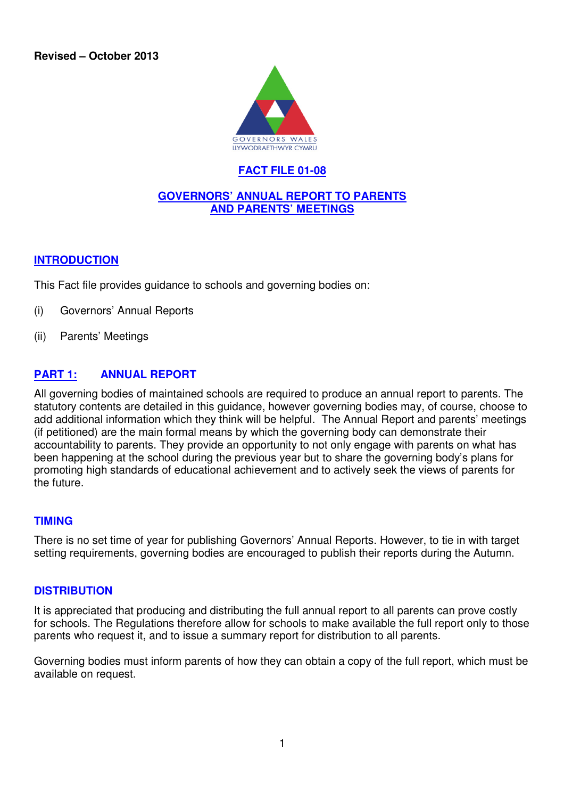

# **FACT FILE 01-08**

## **GOVERNORS' ANNUAL REPORT TO PARENTS AND PARENTS' MEETINGS**

#### **INTRODUCTION**

This Fact file provides guidance to schools and governing bodies on:

- (i) Governors' Annual Reports
- (ii) Parents' Meetings

## **PART 1: ANNUAL REPORT**

All governing bodies of maintained schools are required to produce an annual report to parents. The statutory contents are detailed in this guidance, however governing bodies may, of course, choose to add additional information which they think will be helpful. The Annual Report and parents' meetings (if petitioned) are the main formal means by which the governing body can demonstrate their accountability to parents. They provide an opportunity to not only engage with parents on what has been happening at the school during the previous year but to share the governing body's plans for promoting high standards of educational achievement and to actively seek the views of parents for the future.

#### **TIMING**

There is no set time of year for publishing Governors' Annual Reports. However, to tie in with target setting requirements, governing bodies are encouraged to publish their reports during the Autumn.

#### **DISTRIBUTION**

It is appreciated that producing and distributing the full annual report to all parents can prove costly for schools. The Regulations therefore allow for schools to make available the full report only to those parents who request it, and to issue a summary report for distribution to all parents.

Governing bodies must inform parents of how they can obtain a copy of the full report, which must be available on request.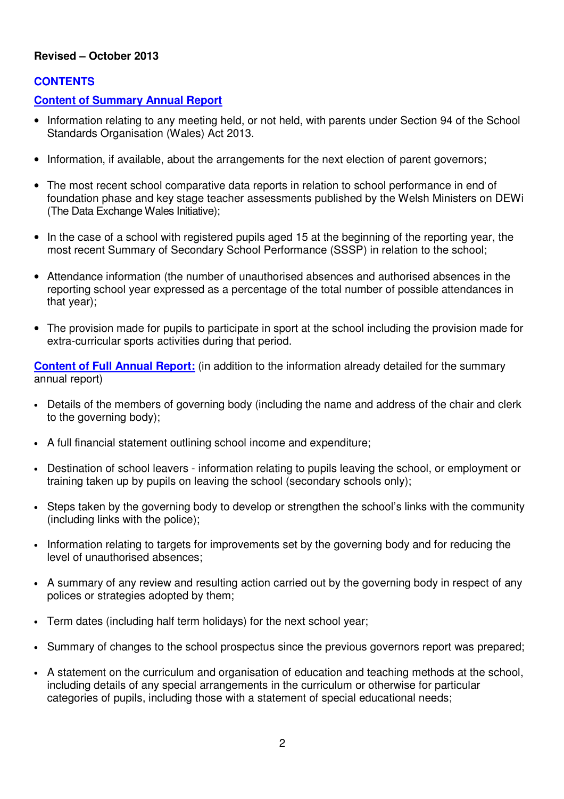## **Revised – October 2013**

## **CONTENTS**

### **Content of Summary Annual Report**

- Information relating to any meeting held, or not held, with parents under Section 94 of the School Standards Organisation (Wales) Act 2013.
- Information, if available, about the arrangements for the next election of parent governors;
- The most recent school comparative data reports in relation to school performance in end of foundation phase and key stage teacher assessments published by the Welsh Ministers on DEWi (The Data Exchange Wales Initiative);
- In the case of a school with registered pupils aged 15 at the beginning of the reporting year, the most recent Summary of Secondary School Performance (SSSP) in relation to the school;
- Attendance information (the number of unauthorised absences and authorised absences in the reporting school year expressed as a percentage of the total number of possible attendances in that year);
- The provision made for pupils to participate in sport at the school including the provision made for extra-curricular sports activities during that period.

**Content of Full Annual Report:** (in addition to the information already detailed for the summary annual report)

- Details of the members of governing body (including the name and address of the chair and clerk to the governing body);
- A full financial statement outlining school income and expenditure;
- Destination of school leavers information relating to pupils leaving the school, or employment or training taken up by pupils on leaving the school (secondary schools only);
- Steps taken by the governing body to develop or strengthen the school's links with the community (including links with the police);
- Information relating to targets for improvements set by the governing body and for reducing the level of unauthorised absences;
- A summary of any review and resulting action carried out by the governing body in respect of any polices or strategies adopted by them;
- Term dates (including half term holidays) for the next school year;
- Summary of changes to the school prospectus since the previous governors report was prepared;
- A statement on the curriculum and organisation of education and teaching methods at the school, including details of any special arrangements in the curriculum or otherwise for particular categories of pupils, including those with a statement of special educational needs;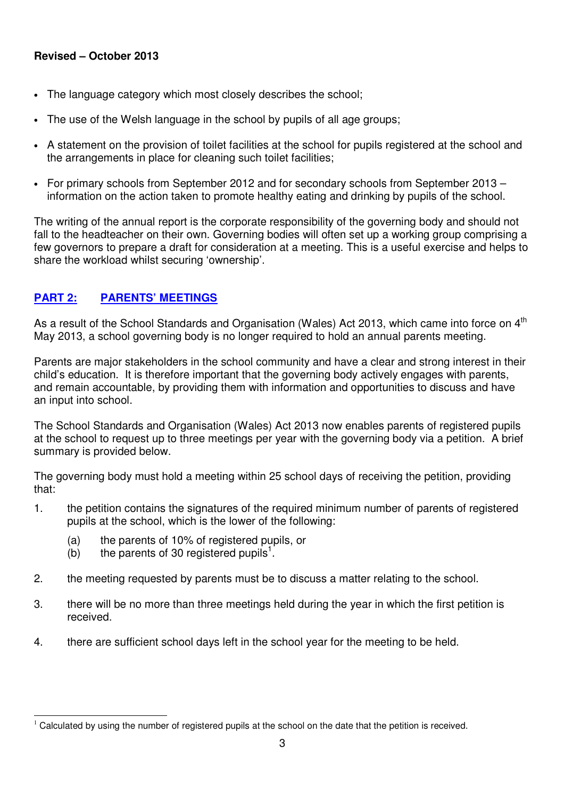## **Revised – October 2013**

- The language category which most closely describes the school;
- The use of the Welsh language in the school by pupils of all age groups;
- A statement on the provision of toilet facilities at the school for pupils registered at the school and the arrangements in place for cleaning such toilet facilities;
- For primary schools from September 2012 and for secondary schools from September 2013 information on the action taken to promote healthy eating and drinking by pupils of the school.

The writing of the annual report is the corporate responsibility of the governing body and should not fall to the headteacher on their own. Governing bodies will often set up a working group comprising a few governors to prepare a draft for consideration at a meeting. This is a useful exercise and helps to share the workload whilst securing 'ownership'.

# **PART 2: PARENTS' MEETINGS**

As a result of the School Standards and Organisation (Wales) Act 2013, which came into force on 4<sup>th</sup> May 2013, a school governing body is no longer required to hold an annual parents meeting.

Parents are major stakeholders in the school community and have a clear and strong interest in their child's education. It is therefore important that the governing body actively engages with parents, and remain accountable, by providing them with information and opportunities to discuss and have an input into school.

The School Standards and Organisation (Wales) Act 2013 now enables parents of registered pupils at the school to request up to three meetings per year with the governing body via a petition. A brief summary is provided below.

The governing body must hold a meeting within 25 school days of receiving the petition, providing that:

- 1. the petition contains the signatures of the required minimum number of parents of registered pupils at the school, which is the lower of the following:
	- (a) the parents of 10% of registered pupils, or
- $(b)$  the parents of 30 registered pupils<sup>1</sup>.

 $\overline{a}$ 

- 2. the meeting requested by parents must be to discuss a matter relating to the school.
- 3. there will be no more than three meetings held during the year in which the first petition is received.
- 4. there are sufficient school days left in the school year for the meeting to be held.

Calculated by using the number of registered pupils at the school on the date that the petition is received.